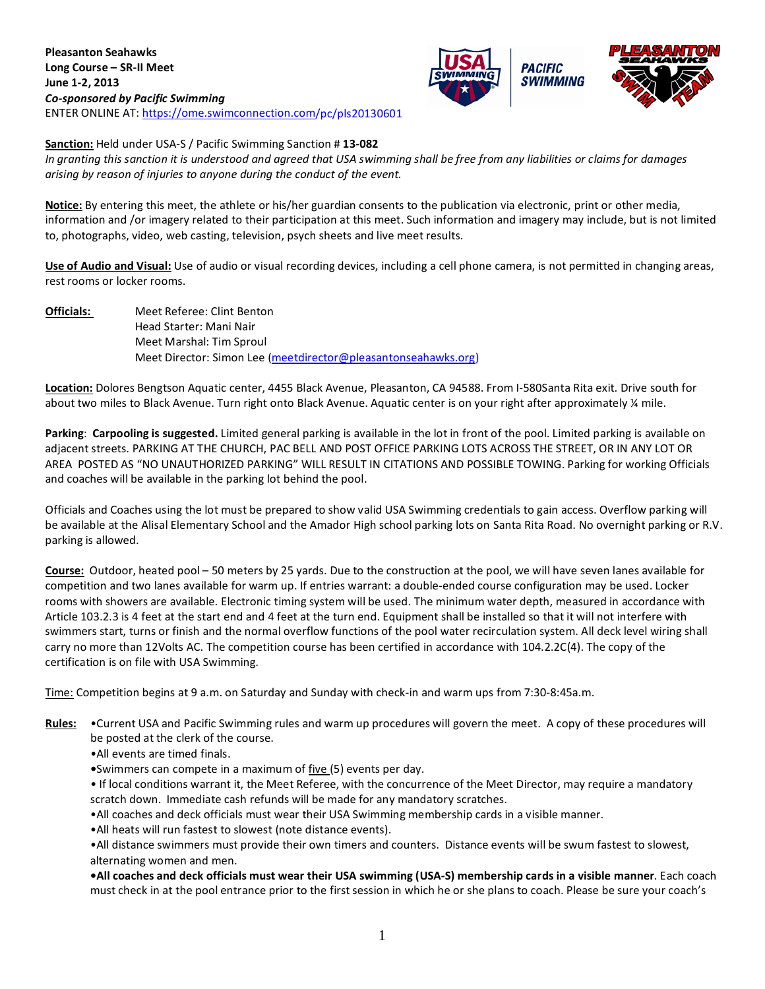



**Sanction:** Held under USA-S / Pacific Swimming Sanction # **13-082**

*In granting this sanction it is understood and agreed that USA swimming shall be free from any liabilities or claims for damages arising by reason of injuries to anyone during the conduct of the event.*

**Notice:** By entering this meet, the athlete or his/her guardian consents to the publication via electronic, print or other media, information and /or imagery related to their participation at this meet. Such information and imagery may include, but is not limited to, photographs, video, web casting, television, psych sheets and live meet results.

**Use of Audio and Visual:** Use of audio or visual recording devices, including a cell phone camera, is not permitted in changing areas, rest rooms or locker rooms.

**Officials:** Meet Referee: Clint Benton Head Starter: Mani Nair Meet Marshal: Tim Sproul Meet Director: Simon Lee [\(meetdirector@pleasantonseahawks.org\)](mailto:meetdirector@pleasantonseahawks.org)

**Location:** Dolores Bengtson Aquatic center, 4455 Black Avenue, Pleasanton, CA 94588. From I-580Santa Rita exit. Drive south for about two miles to Black Avenue. Turn right onto Black Avenue. Aquatic center is on your right after approximately % mile.

**Parking**: **Carpooling is suggested.** Limited general parking is available in the lot in front of the pool. Limited parking is available on adjacent streets. PARKING AT THE CHURCH, PAC BELL AND POST OFFICE PARKING LOTS ACROSS THE STREET, OR IN ANY LOT OR AREA POSTED AS "NO UNAUTHORIZED PARKING" WILL RESULT IN CITATIONS AND POSSIBLE TOWING. Parking for working Officials and coaches will be available in the parking lot behind the pool.

Officials and Coaches using the lot must be prepared to show valid USA Swimming credentials to gain access. Overflow parking will be available at the Alisal Elementary School and the Amador High school parking lots on Santa Rita Road. No overnight parking or R.V. parking is allowed.

**Course:** Outdoor, heated pool – 50 meters by 25 yards. Due to the construction at the pool, we will have seven lanes available for competition and two lanes available for warm up. If entries warrant: a double-ended course configuration may be used. Locker rooms with showers are available. Electronic timing system will be used. The minimum water depth, measured in accordance with Article 103.2.3 is 4 feet at the start end and 4 feet at the turn end. Equipment shall be installed so that it will not interfere with swimmers start, turns or finish and the normal overflow functions of the pool water recirculation system. All deck level wiring shall carry no more than 12Volts AC. The competition course has been certified in accordance with 104.2.2C(4). The copy of the certification is on file with USA Swimming.

Time: Competition begins at 9 a.m. on Saturday and Sunday with check-in and warm ups from 7:30-8:45a.m.

- **Rules:** •Current USA and Pacific Swimming rules and warm up procedures will govern the meet. A copy of these procedures will be posted at the clerk of the course.
	- •All events are timed finals.
	- **•**Swimmers can compete in a maximum of five (5) events per day.

• If local conditions warrant it, the Meet Referee, with the concurrence of the Meet Director, may require a mandatory scratch down. Immediate cash refunds will be made for any mandatory scratches.

•All coaches and deck officials must wear their USA Swimming membership cards in a visible manner.

•All heats will run fastest to slowest (note distance events).

•All distance swimmers must provide their own timers and counters. Distance events will be swum fastest to slowest, alternating women and men.

**•All coaches and deck officials must wear their USA swimming (USA-S) membership cards in a visible manner**. Each coach must check in at the pool entrance prior to the first session in which he or she plans to coach. Please be sure your coach's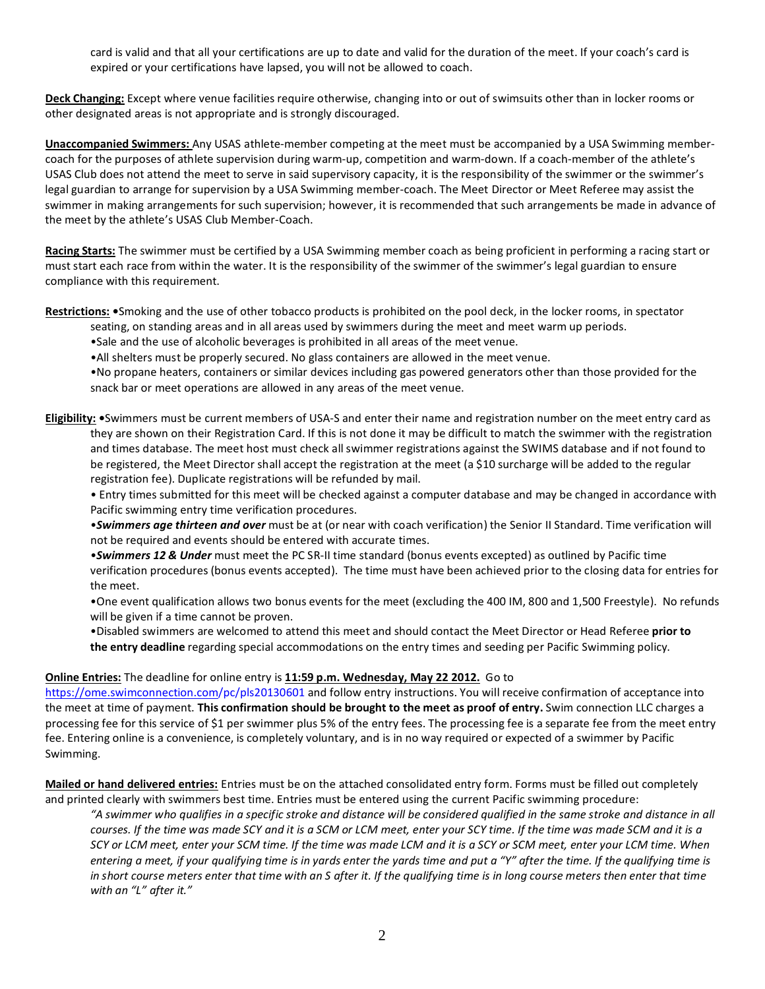card is valid and that all your certifications are up to date and valid for the duration of the meet. If your coach's card is expired or your certifications have lapsed, you will not be allowed to coach.

**Deck Changing:** Except where venue facilities require otherwise, changing into or out of swimsuits other than in locker rooms or other designated areas is not appropriate and is strongly discouraged.

**Unaccompanied Swimmers:** Any USAS athlete-member competing at the meet must be accompanied by a USA Swimming membercoach for the purposes of athlete supervision during warm-up, competition and warm-down. If a coach-member of the athlete's USAS Club does not attend the meet to serve in said supervisory capacity, it is the responsibility of the swimmer or the swimmer's legal guardian to arrange for supervision by a USA Swimming member-coach. The Meet Director or Meet Referee may assist the swimmer in making arrangements for such supervision; however, it is recommended that such arrangements be made in advance of the meet by the athlete's USAS Club Member-Coach.

**Racing Starts:** The swimmer must be certified by a USA Swimming member coach as being proficient in performing a racing start or must start each race from within the water. It is the responsibility of the swimmer of the swimmer's legal guardian to ensure compliance with this requirement.

**Restrictions: •**Smoking and the use of other tobacco products is prohibited on the pool deck, in the locker rooms, in spectator

- seating, on standing areas and in all areas used by swimmers during the meet and meet warm up periods.
	- •Sale and the use of alcoholic beverages is prohibited in all areas of the meet venue.
	- •All shelters must be properly secured. No glass containers are allowed in the meet venue.

•No propane heaters, containers or similar devices including gas powered generators other than those provided for the snack bar or meet operations are allowed in any areas of the meet venue.

**Eligibility: •**Swimmers must be current members of USA-S and enter their name and registration number on the meet entry card as they are shown on their Registration Card. If this is not done it may be difficult to match the swimmer with the registration and times database. The meet host must check all swimmer registrations against the SWIMS database and if not found to be registered, the Meet Director shall accept the registration at the meet (a \$10 surcharge will be added to the regular registration fee). Duplicate registrations will be refunded by mail.

• Entry times submitted for this meet will be checked against a computer database and may be changed in accordance with Pacific swimming entry time verification procedures.

•*Swimmers age thirteen and over* must be at (or near with coach verification) the Senior II Standard. Time verification will not be required and events should be entered with accurate times.

•*Swimmers 12 & Under* must meet the PC SR-II time standard (bonus events excepted) as outlined by Pacific time verification procedures (bonus events accepted). The time must have been achieved prior to the closing data for entries for the meet.

•One event qualification allows two bonus events for the meet (excluding the 400 IM, 800 and 1,500 Freestyle). No refunds will be given if a time cannot be proven.

•Disabled swimmers are welcomed to attend this meet and should contact the Meet Director or Head Referee **prior to the entry deadline** regarding special accommodations on the entry times and seeding per Pacific Swimming policy.

## **Online Entries:** The deadline for online entry is **11:59 p.m. Wednesday, May 22 2012.** Go to

<https://ome.swimconnection.com/>pc/pls20130601 and follow entry instructions. You will receive confirmation of acceptance into the meet at time of payment. **This confirmation should be brought to the meet as proof of entry.** Swim connection LLC charges a processing fee for this service of \$1 per swimmer plus 5% of the entry fees. The processing fee is a separate fee from the meet entry fee. Entering online is a convenience, is completely voluntary, and is in no way required or expected of a swimmer by Pacific Swimming.

**Mailed or hand delivered entries:** Entries must be on the attached consolidated entry form. Forms must be filled out completely and printed clearly with swimmers best time. Entries must be entered using the current Pacific swimming procedure:

*"A swimmer who qualifies in a specific stroke and distance will be considered qualified in the same stroke and distance in all courses. If the time was made SCY and it is a SCM or LCM meet, enter your SCY time. If the time was made SCM and it is a SCY or LCM meet, enter your SCM time. If the time was made LCM and it is a SCY or SCM meet, enter your LCM time. When entering a meet, if your qualifying time is in yards enter the yards time and put a "Y" after the time. If the qualifying time is in short course meters enter that time with an S after it. If the qualifying time is in long course meters then enter that time with an "L" after it."*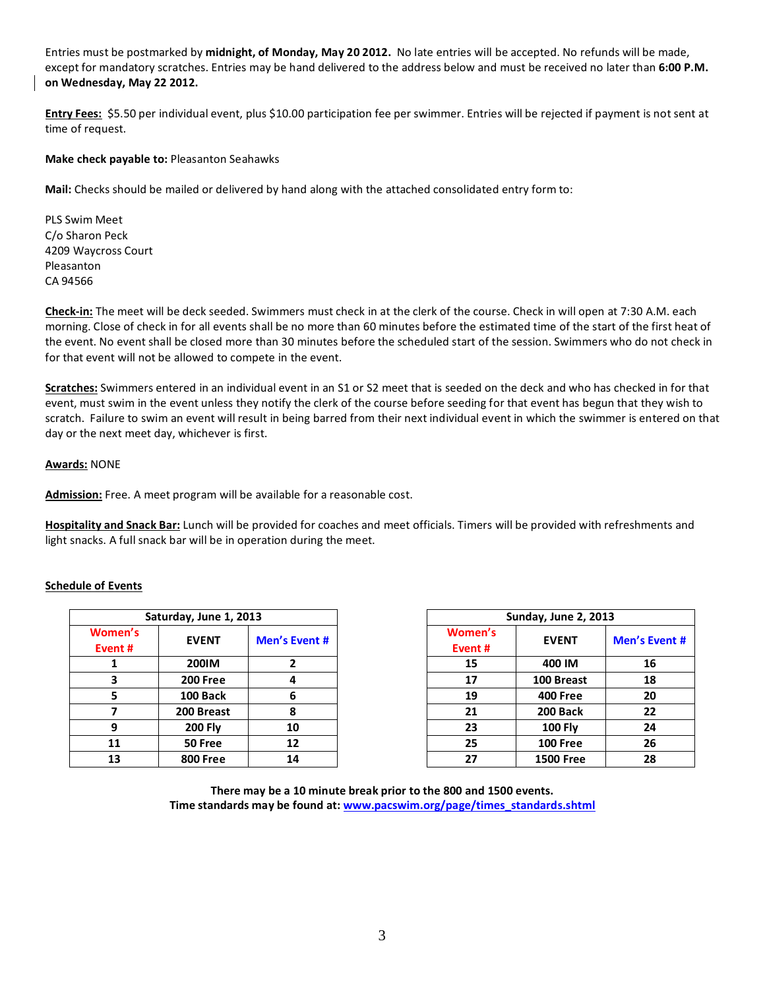Entries must be postmarked by **midnight, of Monday, May 20 2012.** No late entries will be accepted. No refunds will be made, except for mandatory scratches. Entries may be hand delivered to the address below and must be received no later than **6:00 P.M. on Wednesday, May 22 2012.**

**Entry Fees:** \$5.50 per individual event, plus \$10.00 participation fee per swimmer. Entries will be rejected if payment is not sent at time of request.

## **Make check payable to:** Pleasanton Seahawks

**Mail:** Checks should be mailed or delivered by hand along with the attached consolidated entry form to:

PLS Swim Meet C/o Sharon Peck 4209 Waycross Court Pleasanton CA 94566

**Check-in:** The meet will be deck seeded. Swimmers must check in at the clerk of the course. Check in will open at 7:30 A.M. each morning. Close of check in for all events shall be no more than 60 minutes before the estimated time of the start of the first heat of the event. No event shall be closed more than 30 minutes before the scheduled start of the session. Swimmers who do not check in for that event will not be allowed to compete in the event.

**Scratches:** Swimmers entered in an individual event in an S1 or S2 meet that is seeded on the deck and who has checked in for that event, must swim in the event unless they notify the clerk of the course before seeding for that event has begun that they wish to scratch. Failure to swim an event will result in being barred from their next individual event in which the swimmer is entered on that day or the next meet day, whichever is first.

## **Awards:** NONE

**Admission:** Free. A meet program will be available for a reasonable cost.

**Hospitality and Snack Bar:** Lunch will be provided for coaches and meet officials. Timers will be provided with refreshments and light snacks. A full snack bar will be in operation during the meet.

## **Schedule of Events**

|                   | Saturday, June 1, 2013 |               |                    | <b>Sunday, June 2, 2013</b> |         |  |  |  |  |  |
|-------------------|------------------------|---------------|--------------------|-----------------------------|---------|--|--|--|--|--|
| Women's<br>Event# | <b>EVENT</b>           | Men's Event # | Women's<br>Event # | <b>EVENT</b>                | Men's E |  |  |  |  |  |
|                   | 200IM                  | 2             | 15                 | 400 IM                      | 16      |  |  |  |  |  |
| 3                 | <b>200 Free</b>        | 4             | 17                 | 100 Breast                  | 18      |  |  |  |  |  |
| 5                 | 100 Back               | 6             | 19                 | <b>400 Free</b>             | 20      |  |  |  |  |  |
|                   | 200 Breast             | 8             | 21                 | 200 Back                    | 22      |  |  |  |  |  |
| 9                 | <b>200 Fly</b>         | 10            | 23                 | <b>100 Fly</b>              | 24      |  |  |  |  |  |
| 11                | 50 Free                | 12            | 25                 | <b>100 Free</b>             | 26      |  |  |  |  |  |
| 13                | <b>800 Free</b>        | 14            | 27                 | <b>1500 Free</b>            | 28      |  |  |  |  |  |

| Saturday, June 1, 2013  |                 |               |                    | Sunday, June 2, 2013 |                      |  |  |
|-------------------------|-----------------|---------------|--------------------|----------------------|----------------------|--|--|
| men's<br>ent #          | <b>EVENT</b>    | Men's Event # | Women's<br>Event # | <b>EVENT</b>         | <b>Men's Event #</b> |  |  |
| 1                       | <b>200IM</b>    |               | 15                 | 400 IM               | 16                   |  |  |
| $\overline{\mathbf{3}}$ | <b>200 Free</b> | 4             | 17                 | 100 Breast           | 18                   |  |  |
| 5                       | 100 Back        | 6             | 19                 | <b>400 Free</b>      | 20                   |  |  |
| $\overline{7}$          | 200 Breast      |               | 21                 | 200 Back             | 22                   |  |  |
| 9                       | <b>200 Fly</b>  | 10            | 23                 | $100$ Fly            | 24                   |  |  |
| 11                      | 50 Free         | 12            | 25                 | <b>100 Free</b>      | 26                   |  |  |
| 13                      | <b>800 Free</b> | 14            | 27                 | <b>1500 Free</b>     | 28                   |  |  |

**There may be a 10 minute break prior to the 800 and 1500 events. Time standards may be found at: [www.pacswim.org/page/times\\_standards.shtml](http://www.pacswim.org/page/times_standards.shtml)**